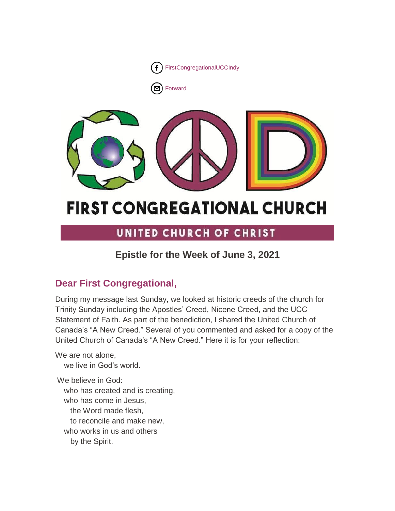

□ [Forward](http://us16.forward-to-friend.com/forward?u=7a2e4c501545b6d78729a64a1&id=8bfa717601&e=%5bUNIQID%5d)



# **FIRST CONGREGATIONAL CHURCH**

## UNITED CHURCH OF CHRIST

### **Epistle for the Week of June 3, 2021**

### **Dear First Congregational,**

During my message last Sunday, we looked at historic creeds of the church for Trinity Sunday including the Apostles' Creed, Nicene Creed, and the UCC Statement of Faith. As part of the benediction, I shared the United Church of Canada's "A New Creed." Several of you commented and asked for a copy of the United Church of Canada's "A New Creed." Here it is for your reflection:

We are not alone, we live in God's world.

We believe in God: who has created and is creating, who has come in Jesus, the Word made flesh, to reconcile and make new, who works in us and others by the Spirit.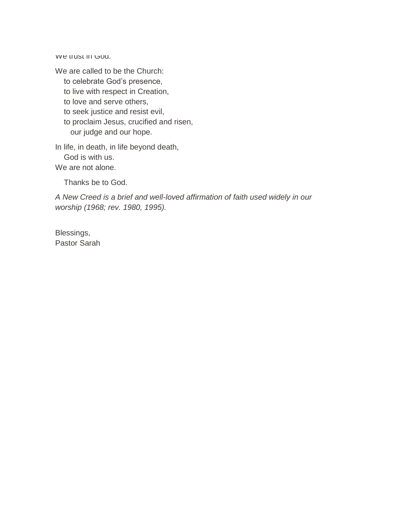We trust in God.

We are called to be the Church:

to celebrate God's presence,

to live with respect in Creation,

to love and serve others,

to seek justice and resist evil,

 to proclaim Jesus, crucified and risen, our judge and our hope.

In life, in death, in life beyond death, God is with us.

We are not alone.

Thanks be to God.

*A New Creed is a brief and well-loved affirmation of faith used widely in our worship (1968; rev. 1980, 1995).*

Blessings, Pastor Sarah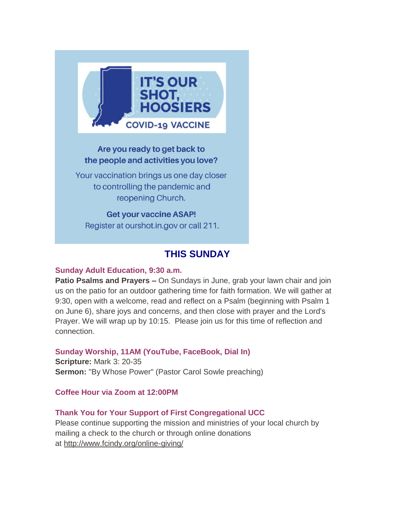

### Are you ready to get back to the people and activities you love?

Your vaccination brings us one day closer to controlling the pandemic and reopening Church.

**Get your vaccine ASAP!** Register at ourshot.in.gov or call 211.

### **THIS SUNDAY**

### **Sunday Adult Education, 9:30 a.m.**

**Patio Psalms and Prayers –** On Sundays in June, grab your lawn chair and join us on the patio for an outdoor gathering time for faith formation. We will gather at 9:30, open with a welcome, read and reflect on a Psalm (beginning with Psalm 1 on June 6), share joys and concerns, and then close with prayer and the Lord's Prayer. We will wrap up by 10:15. Please join us for this time of reflection and connection.

### **Sunday Worship, 11AM (YouTube, FaceBook, Dial In)**

**Scripture:** Mark 3: 20-35 **Sermon:** "By Whose Power" (Pastor Carol Sowle preaching)

**Coffee Hour via Zoom at 12:00PM**

### **Thank You for Your Support of First Congregational UCC**

Please continue supporting the mission and ministries of your local church by mailing a check to the church or through online donations at <http://www.fcindy.org/online-giving/>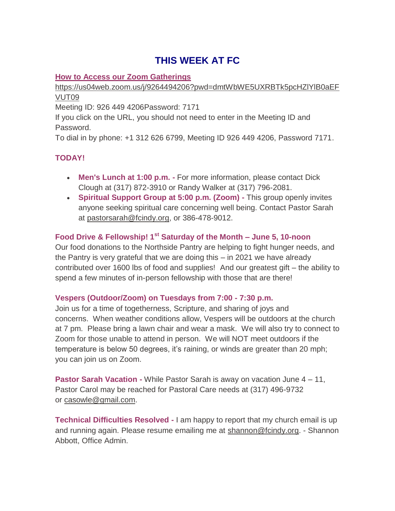### **THIS WEEK AT FC**

### **How to Access our Zoom Gatherings**

[https://us04web.zoom.us/j/9264494206?pwd=dmtWbWE5UXRBTk5pcHZlYlB0aEF](https://us04web.zoom.us/j/9264494206?pwd=dmtWbWE5UXRBTk5pcHZlYlB0aEFVUT09) [VUT09](https://us04web.zoom.us/j/9264494206?pwd=dmtWbWE5UXRBTk5pcHZlYlB0aEFVUT09)

Meeting ID: 926 449 4206Password: 7171

If you click on the URL, you should not need to enter in the Meeting ID and Password.

To dial in by phone: +1 312 626 6799, Meeting ID 926 449 4206, Password 7171.

### **TODAY!**

- **Men's Lunch at 1:00 p.m. -** For more information, please contact Dick Clough at (317) 872-3910 or Randy Walker at (317) 796-2081.
- **Spiritual Support Group at 5:00 p.m. (Zoom) -** This group openly invites anyone seeking spiritual care concerning well being. Contact Pastor Sarah at [pastorsarah@fcindy.org,](mailto:pastorsarah@fcindy.org) or 386-478-9012.

### **Food Drive & Fellowship! 1st Saturday of the Month – June 5, 10-noon**

Our food donations to the Northside Pantry are helping to fight hunger needs, and the Pantry is very grateful that we are doing this – in 2021 we have already contributed over 1600 lbs of food and supplies! And our greatest gift – the ability to spend a few minutes of in-person fellowship with those that are there!

### **Vespers (Outdoor/Zoom) on Tuesdays from 7:00 - 7:30 p.m.**

Join us for a time of togetherness, Scripture, and sharing of joys and concerns. When weather conditions allow, Vespers will be outdoors at the church at 7 pm. Please bring a lawn chair and wear a mask. We will also try to connect to Zoom for those unable to attend in person. We will NOT meet outdoors if the temperature is below 50 degrees, it's raining, or winds are greater than 20 mph; you can join us on Zoom.

**Pastor Sarah Vacation -** While Pastor Sarah is away on vacation June 4 – 11, Pastor Carol may be reached for Pastoral Care needs at (317) 496-9732 or [casowle@gmail.com.](mailto:casowle@gmail.com)

**Technical Difficulties Resolved -** I am happy to report that my church email is up and running again. Please resume emailing me at [shannon@fcindy.org.](mailto:shannon@fcindy.org) - Shannon Abbott, Office Admin.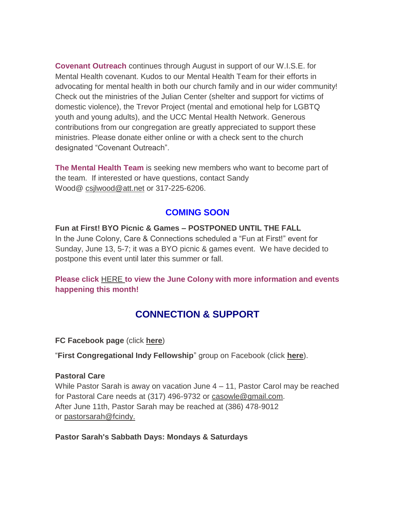**Covenant Outreach** continues through August in support of our W.I.S.E. for Mental Health covenant. Kudos to our Mental Health Team for their efforts in advocating for mental health in both our church family and in our wider community! Check out the ministries of the Julian Center (shelter and support for victims of domestic violence), the Trevor Project (mental and emotional help for LGBTQ youth and young adults), and the UCC Mental Health Network. Generous contributions from our congregation are greatly appreciated to support these ministries. Please donate either online or with a check sent to the church designated "Covenant Outreach".

**The Mental Health Team** is seeking new members who want to become part of the team. If interested or have questions, contact Sandy Wood@ [csjlwood@att.net](mailto:csjlwood@att.net) or 317-225-6206.

### **COMING SOON**

**Fun at First! BYO Picnic & Games – POSTPONED UNTIL THE FALL** In the June Colony, Care & Connections scheduled a "Fun at First!" event for Sunday, June 13, 5-7; it was a BYO picnic & games event. We have decided to postpone this event until later this summer or fall.

**Please click** [HERE](https://mcusercontent.com/7a2e4c501545b6d78729a64a1/files/d48f69d7-e688-a3ac-b0c2-00c4dfd79cda/June_Colony_2021.01.pdf) **[t](https://mcusercontent.com/7a2e4c501545b6d78729a64a1/files/d48f69d7-e688-a3ac-b0c2-00c4dfd79cda/June_Colony_2021.01.pdf)o view the June Colony with more information and events happening this month!**

### **CONNECTION & SUPPORT**

**FC Facebook page** (click **[here](https://www.facebook.com/FirstCongregationalUCCIndy/)**)

"**First Congregational Indy Fellowship**" group on Facebook (click **[here](https://www.facebook.com/groups/521333455186422/)**).

#### **Pastoral Care**

While Pastor Sarah is away on vacation June 4 – 11, Pastor Carol may be reached for Pastoral Care needs at (317) 496-9732 or [casowle@gmail.com.](mailto:casowle@gmail.com) After June 11th, Pastor Sarah may be reached at (386) 478-9012 or [pastorsarah@fcindy.](mailto:pastorsarah@fcindy.org)

### **Pastor Sarah's Sabbath Days: Mondays & Saturdays**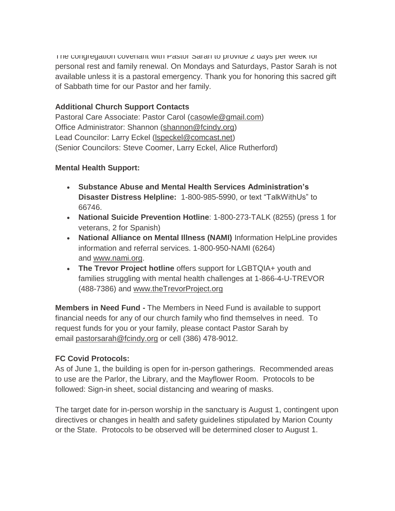The congregation covenant with Pastor Sarah to provide  $\angle$  days per week for personal rest and family renewal. On Mondays and Saturdays, Pastor Sarah is not available unless it is a pastoral emergency. Thank you for honoring this sacred gift of Sabbath time for our Pastor and her family.

### **Additional Church Support Contacts**

Pastoral Care Associate: Pastor Carol [\(casowle@gmail.com\)](mailto:casowle@gmail.com) Office Administrator: Shannon [\(shannon@fcindy.org\)](mailto:shannon@fcindy.org) Lead Councilor: Larry Eckel [\(lspeckel@comcast.net\)](mailto:lspeckel@comcast.net) (Senior Councilors: Steve Coomer, Larry Eckel, Alice Rutherford)

### **Mental Health Support:**

- **Substance Abuse and Mental Health Services Administration's Disaster Distress Helpline:** 1-800-985-5990, or text "TalkWithUs" to 66746.
- **National Suicide Prevention Hotline**: 1-800-273-TALK (8255) (press 1 for veterans, 2 for Spanish)
- **National Alliance on Mental Illness (NAMI)** Information HelpLine provides information and referral services. 1-800-950-NAMI (6264) and [www.nami.org.](http://www.nami.org/)
- **The Trevor Project hotline** offers support for LGBTQIA+ youth and families struggling with mental health challenges at 1-866-4-U-TREVOR (488-7386) and [www.theTrevorProject.org](http://www.thetrevorproject.org/)

**Members in Need Fund -** The Members in Need Fund is available to support financial needs for any of our church family who find themselves in need. To request funds for you or your family, please contact Pastor Sarah by email [pastorsarah@fcindy.org](mailto:pastorsarah@fcindy.org) or cell (386) 478-9012.

### **FC Covid Protocols:**

As of June 1, the building is open for in-person gatherings. Recommended areas to use are the Parlor, the Library, and the Mayflower Room. Protocols to be followed: Sign-in sheet, social distancing and wearing of masks.

The target date for in-person worship in the sanctuary is August 1, contingent upon directives or changes in health and safety guidelines stipulated by Marion County or the State. Protocols to be observed will be determined closer to August 1.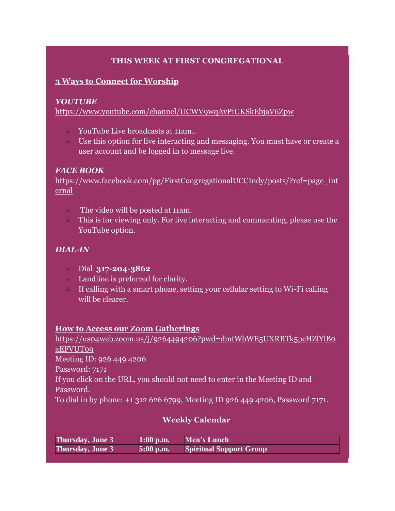### **THIS WEEK AT FIRST CONGREGATIONAL**

### **3 Ways to Connect for Worship**

#### *YOUTUBE*

<https://www.youtube.com/channel/UCWV9wqAvPiUKSkEbjaV6Zpw>

- YouTube Live broadcasts at 11am..
- Use this option for live interacting and messaging. You must have or create a user account and be logged in to message live.

#### *FACE BOOK*

[https://www.facebook.com/pg/FirstCongregationalUCCIndy/posts/?ref=page\\_int](https://www.facebook.com/pg/FirstCongregationalUCCIndy/posts/?ref=page_internal) [ernal](https://www.facebook.com/pg/FirstCongregationalUCCIndy/posts/?ref=page_internal)

- The video will be posted at 11am.
- This is for viewing only. For live interacting and commenting, please use the YouTube option.

### *DIAL-IN*

- Dial **317-204-3862**
- Landline is preferred for clarity.
- If calling with a smart phone, setting your cellular setting to Wi-Fi calling will be clearer.

#### **How to Access our Zoom Gatherings**

[https://us04web.zoom.us/j/9264494206?pwd=dmtWbWE5UXRBTk5pcHZlYlB0](https://us04web.zoom.us/j/9264494206?pwd=dmtWbWE5UXRBTk5pcHZlYlB0aEFVUT09) [aEFVUT09](https://us04web.zoom.us/j/9264494206?pwd=dmtWbWE5UXRBTk5pcHZlYlB0aEFVUT09) Meeting ID: 926 449 4206 Password: 7171 If you click on the URL, you should not need to enter in the Meeting ID and Password.

To dial in by phone: +1 312 626 6799, Meeting ID 926 449 4206, Password 7171.

### **Weekly Calendar**

| <b>Thursday, June 3</b> | $1:00$ p.m. | Men's Lunch                    |
|-------------------------|-------------|--------------------------------|
| <b>Thursday, June 3</b> | $5:00$ p.m. | <b>Spiritual Support Group</b> |